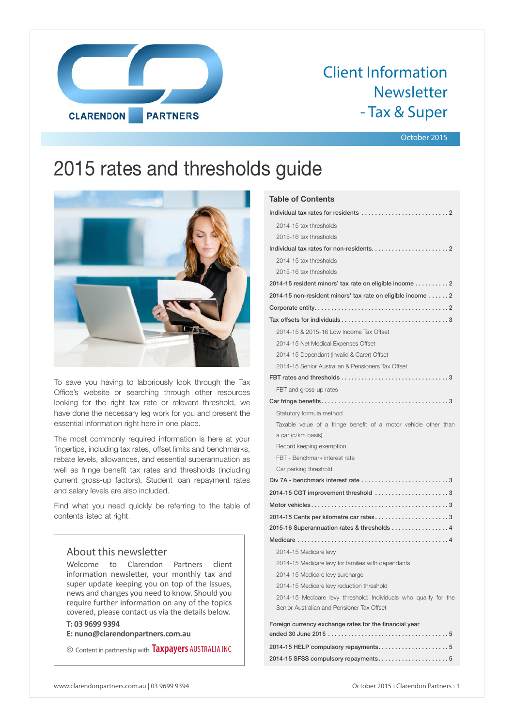

# Client Information Newsletter - Tax & Super

## October 2015

# 2015 rates and thresholds guide



To save you having to laboriously look through the Tax Office's website or searching through other resources looking for the right tax rate or relevant threshold, we have done the necessary leg work for you and present the essential information right here in one place.

The most commonly required information is here at your fingertips, including tax rates, offset limits and benchmarks, rebate levels, allowances, and essential superannuation as well as fringe benefit tax rates and thresholds (including current gross-up factors). Student loan repayment rates and salary levels are also included.

Find what you need quickly be referring to the table of contents listed at right.

# About this newsletter

Welcome to Clarendon Partners client information newsletter, your monthly tax and super update keeping you on top of the issues, news and changes you need to know. Should you require further information on any of the topics covered, please contact us via the details below.

# **T: 03 9699 9394**

**E: nuno@clarendonpartners.com.au**

© Content in partnership with **Taxpayers** AUSTRALIA INC

| <b>Table of Contents</b>                                                             |
|--------------------------------------------------------------------------------------|
|                                                                                      |
| 2014-15 tax thresholds                                                               |
| 2015-16 tax thresholds                                                               |
|                                                                                      |
| 2014-15 tax thresholds                                                               |
| 2015-16 tax thresholds                                                               |
| 2014-15 resident minors' tax rate on eligible income 2                               |
| 2014-15 non-resident minors' tax rate on eligible income  2                          |
|                                                                                      |
|                                                                                      |
| 2014-15 & 2015-16 Low Income Tax Offset                                              |
| 2014-15 Net Medical Expenses Offset                                                  |
| 2014-15 Dependant (Invalid & Carer) Offset                                           |
| 2014-15 Senior Australian & Pensioners Tax Offset                                    |
|                                                                                      |
| FBT and gross-up rates                                                               |
|                                                                                      |
| Statutory formula method                                                             |
| Taxable value of a fringe benefit of a motor vehicle other than                      |
| a car (c/km basis)                                                                   |
| Record keeping exemption                                                             |
| FBT - Benchmark interest rate                                                        |
| Car parking threshold                                                                |
| Div 7A - benchmark interest rate $\ldots, \ldots, \ldots, \ldots, \ldots, \ldots, 3$ |
| 2014-15 CGT improvement threshold 3                                                  |
|                                                                                      |
| 2014-15 Cents per kilometre car rates3                                               |
| 2015-16 Superannuation rates & thresholds 4                                          |
|                                                                                      |
| 2014-15 Medicare levy                                                                |
| 2014-15 Medicare levy for families with dependants                                   |
| 2014-15 Medicare levy surcharge                                                      |
| 2014-15 Medicare levy reduction threshold                                            |
| 2014-15 Medicare levy threshold: Individuals who qualify for the                     |
| Senior Australian and Pensioner Tax Offset                                           |
| Foreign currency exchange rates for the financial year                               |
|                                                                                      |
| 2014-15 SFSS compulsory repayments5                                                  |
|                                                                                      |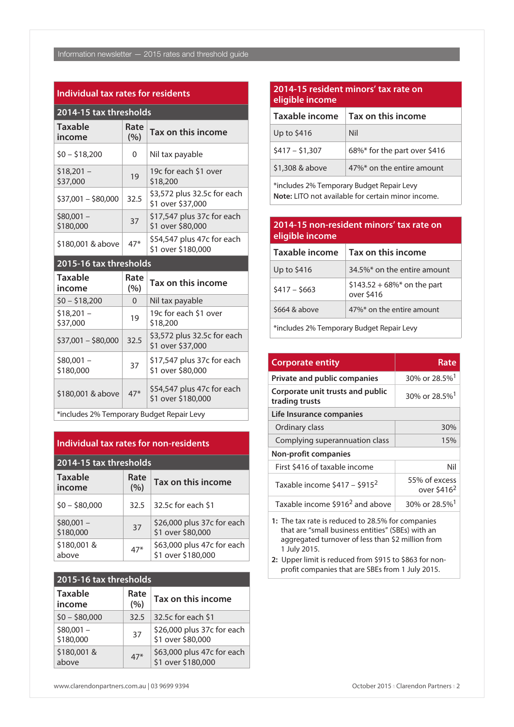### **Individual tax rates for residents**

| 2014-15 tax thresholds   |             |                                                  |  |
|--------------------------|-------------|--------------------------------------------------|--|
| <b>Taxable</b><br>income | Rate<br>(%) | Tax on this income                               |  |
| $$0 - $18,200$           | 0           | Nil tax payable                                  |  |
| $$18,201 -$<br>\$37,000  | 19          | 19c for each \$1 over<br>\$18,200                |  |
| $$37,001 - $80,000$      | 32.5        | \$3,572 plus 32.5c for each<br>\$1 over \$37,000 |  |
| $$80,001 -$<br>\$180,000 | 37          | \$17,547 plus 37c for each<br>\$1 over \$80,000  |  |
| \$180,001 & above        | $47*$       | \$54,547 plus 47c for each<br>\$1 over \$180,000 |  |

# **2015-16 tax thresholds**

| <b>Taxable</b><br>income                  | Rate<br>(%) | Tax on this income                               |
|-------------------------------------------|-------------|--------------------------------------------------|
| $$0 - $18,200$                            | 0           | Nil tax payable                                  |
| $$18,201 -$<br>\$37,000                   | 19          | 19c for each \$1 over<br>\$18,200                |
| $$37,001 - $80,000$                       | 32.5        | \$3,572 plus 32.5c for each<br>\$1 over \$37,000 |
| $$80.001 -$<br>\$180,000                  | 37          | \$17,547 plus 37c for each<br>\$1 over \$80,000  |
| \$180,001 & above                         | $47*$       | \$54,547 plus 47c for each<br>\$1 over \$180,000 |
| tincludes 2% Temporary Rudget Repair Levy |             |                                                  |

 $\mid$  \*includes 2% Temporary Budget Repair Levy

# **Individual tax rates for non-residents**

| 2014-15 tax thresholds   |             |                                                  |  |
|--------------------------|-------------|--------------------------------------------------|--|
| <b>Taxable</b><br>income | Rate<br>(%) | Tax on this income                               |  |
| $$0 - $80,000$           | 32.5        | 32.5c for each \$1                               |  |
| $$80,001 -$<br>\$180,000 | 37          | \$26,000 plus 37c for each<br>\$1 over \$80,000  |  |
| \$180,001&<br>above      | $47*$       | \$63,000 plus 47c for each<br>\$1 over \$180,000 |  |

# **2015-16 tax thresholds**

| <b>Taxable</b><br>income | Rate<br>(%) | Tax on this income                               |
|--------------------------|-------------|--------------------------------------------------|
| $$0 - $80,000$           | 32.5        | 32.5c for each \$1                               |
| $$80,001 -$<br>\$180,000 | 37          | \$26,000 plus 37c for each<br>\$1 over \$80,000  |
| \$180,001&<br>above      | $47*$       | \$63,000 plus 47c for each<br>\$1 over \$180,000 |

# **2014-15 resident minors' tax rate on eligible income**

| Taxable income  | Tax on this income           |
|-----------------|------------------------------|
| Up to \$416     | Nil                          |
| $$417 - $1,307$ | 68%* for the part over \$416 |
| \$1,308 & above | 47%* on the entire amount    |

\*includes 2% Temporary Budget Repair Levy **Note:** LITO not available for certain minor income.

# **2014-15 non-resident minors' tax rate on eligible income**

| Taxable income | Tax on this income                         |
|----------------|--------------------------------------------|
| Up to \$416    | 34.5%* on the entire amount                |
| $$417 - $663$  | $$143.52 + 68\%$ on the part<br>over \$416 |
| \$664 & above  | 47%* on the entire amount                  |
|                |                                            |

\*includes 2% Temporary Budget Repair Levy

| <b>Corporate entity</b>                            | Rate                                     |
|----------------------------------------------------|------------------------------------------|
| <b>Private and public companies</b>                | 30% or 28.5% <sup>1</sup>                |
| Corporate unit trusts and public<br>trading trusts | 30% or 28.5% <sup>1</sup>                |
| Life Insurance companies                           |                                          |
| Ordinary class                                     | 30%                                      |
| Complying superannuation class                     | 15%                                      |
| <b>Non-profit companies</b>                        |                                          |
| First \$416 of taxable income                      | Nil                                      |
| Taxable income $$417 - $915^2$                     | 55% of excess<br>over \$416 <sup>2</sup> |
| Taxable income \$916 <sup>2</sup> and above        | 30% or 28.5% <sup>1</sup>                |

**1:** The tax rate is reduced to 28.5% for companies that are "small business entities" (SBEs) with an aggregated turnover of less than \$2 million from 1 July 2015.

**2:** Upper limit is reduced from \$915 to \$863 for nonprofit companies that are SBEs from 1 July 2015.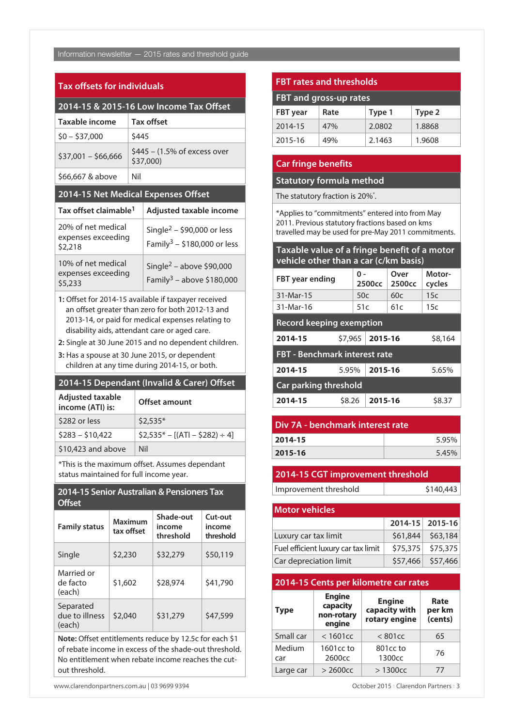# Information newsletter — 2015 rates and threshold guide

# **Tax offsets for individuals**

| 2014-15 & 2015-16 Low Income Tax Offset             |       |                                                                                   |  |  |
|-----------------------------------------------------|-------|-----------------------------------------------------------------------------------|--|--|
| Taxable income                                      |       | <b>Tax offset</b>                                                                 |  |  |
| $$0 - $37,000$                                      | \$445 |                                                                                   |  |  |
| $$37,001 - $66,666$                                 |       | $$445 - (1.5\% \text{ of excess over})$<br>\$37,000)                              |  |  |
| \$66,667 & above                                    | Nil   |                                                                                   |  |  |
| 2014-15 Net Medical Expenses Offset                 |       |                                                                                   |  |  |
| Tax offset claimable <sup>1</sup>                   |       | Adjusted taxable income                                                           |  |  |
| 20% of net medical<br>expenses exceeding<br>\$2,218 |       | Single <sup>2</sup> – \$90,000 or less<br>Family <sup>3</sup> – \$180,000 or less |  |  |
| 10% of net medical<br>expenses exceeding<br>\$5,233 |       | Single <sup>2</sup> – above \$90,000<br>Family <sup>3</sup> – above \$180,000     |  |  |

**1:** Offset for 2014-15 available if taxpayer received an offset greater than zero for both 2012-13 and 2013-14, or paid for medical expenses relating to disability aids, attendant care or aged care.

**2:** Single at 30 June 2015 and no dependent children.

**3:** Has a spouse at 30 June 2015, or dependent children at any time during 2014-15, or both.

#### **2014-15 Dependant (Invalid & Carer) Offset**

| <b>Adjusted taxable</b><br>income (ATI) is: | <b>Offset amount</b>               |
|---------------------------------------------|------------------------------------|
| \$282 or less                               | $$2,535*$                          |
| $$283 - $10,422$                            | $$2,535^* - [(ATI - $282) \div 4]$ |
| \$10,423 and above                          | Nil                                |

\*This is the maximum offset. Assumes dependant status maintained for full income year.

# **2014-15 Senior Australian & Pensioners Tax Offset**

| <b>Family status</b>                  | Maximum<br>tax offset | Shade-out<br>income<br>threshold | Cut-out<br>income<br>threshold |
|---------------------------------------|-----------------------|----------------------------------|--------------------------------|
| Single                                | \$2,230               | \$32,279                         | \$50,119                       |
| Married or<br>de facto<br>(each)      | \$1,602               | \$28,974                         | \$41,790                       |
| Separated<br>due to illness<br>(each) | \$2,040               | \$31,279                         | \$47,599                       |

**Note:** Offset entitlements reduce by 12.5c for each \$1 of rebate income in excess of the shade-out threshold. No entitlement when rebate income reaches the cutout threshold.

# **FBT rates and thresholds**

| FBT and gross-up rates |      |        |        |
|------------------------|------|--------|--------|
| <b>FBT</b> year        | Rate | Type 1 | Type 2 |
| 2014-15                | 47%  | 2.0802 | 1.8868 |
| 2015-16                | 49%  | 2.1463 | 1.9608 |

# **Car fringe benefits**

# **Statutory formula method**

The statutory fraction is 20%\*.

\*Applies to "commitments" entered into from May 2011. Previous statutory fractions based on kms travelled may be used for pre-May 2011 commitments.

# **Taxable value of a fringe benefit of a motor vehicle other than a car (c/km basis)**

| <b>FBT</b> year ending          | ი -     | 2500 <sub>cc</sub> | Over<br>2500 <sub>cc</sub> | Motor-<br>cycles |
|---------------------------------|---------|--------------------|----------------------------|------------------|
| 31-Mar-15                       | 50c     |                    | 60c                        | 15c              |
| 31-Mar-16                       | 51c     |                    | 61c                        | 15c              |
| <b>Record keeping exemption</b> |         |                    |                            |                  |
| 2014-15                         | \$7,965 | 2015-16            |                            | \$8,164          |
| FBT - Benchmark interest rate   |         |                    |                            |                  |
| 2014-15                         | 5.95%   | 2015-16            |                            | 5.65%            |
| <b>Car parking threshold</b>    |         |                    |                            |                  |
| 2014-15                         | \$8.26  | 2015-16            |                            | \$8.37           |

| Div 7A - benchmark interest rate |       |  |
|----------------------------------|-------|--|
| 2014-15                          | 5.95% |  |
| 2015-16                          | 5.45% |  |
|                                  |       |  |

# **2014-15 CGT improvement threshold**

Improvement threshold \$140,443

| <b>Motor vehicles</b>               |  |                     |  |
|-------------------------------------|--|---------------------|--|
|                                     |  | 2014-15 2015-16     |  |
| Luxury car tax limit                |  | $$61,844$ $$63,184$ |  |
| Fuel efficient luxury car tax limit |  | $$75,375$ $$75,375$ |  |
| Car depreciation limit              |  | \$57,466 \$57,466   |  |

# **2014-15 Cents per kilometre car rates**

| <b>Type</b>   | <b>Engine</b><br>capacity<br>non-rotary<br>engine | <b>Engine</b><br>capacity with<br>rotary engine | Rate<br>per km<br>(cents) |
|---------------|---------------------------------------------------|-------------------------------------------------|---------------------------|
| Small car     | $<$ 1601 $cc$                                     | < 801cc                                         | 65                        |
| Medium<br>car | 1601cc to<br>2600cc                               | 801cc to<br>1300cc                              | 76                        |
| Large car     | $>$ 2600 $cc$                                     | >1300 <sub>CC</sub>                             | 77                        |

www.clarendonpartners.com.au | 03 9699 9394 **October 2015 n** Clarendon Partners n 3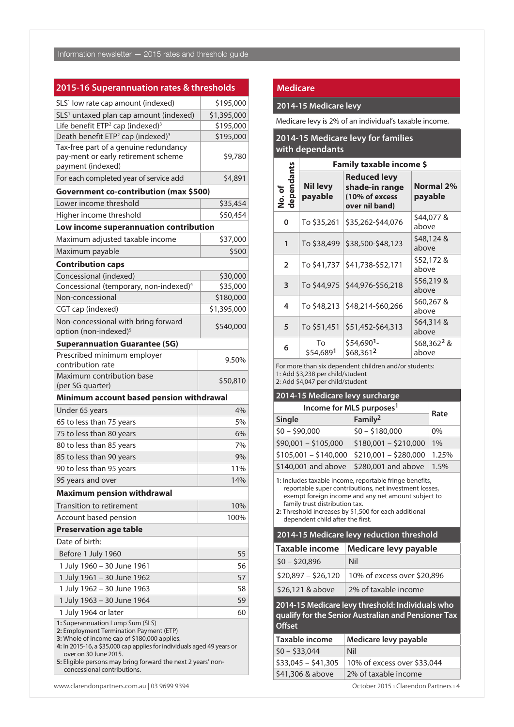# **2015-16 Superannuation rates & thresholds**

| SLS <sup>1</sup> low rate cap amount (indexed)                                                                                                                                                                                                                                                                                | \$195,000             |  |
|-------------------------------------------------------------------------------------------------------------------------------------------------------------------------------------------------------------------------------------------------------------------------------------------------------------------------------|-----------------------|--|
| SLS <sup>1</sup> untaxed plan cap amount (indexed)                                                                                                                                                                                                                                                                            | \$1,395,000           |  |
| Life benefit ETP <sup>2</sup> cap (indexed) <sup>3</sup>                                                                                                                                                                                                                                                                      | \$195,000             |  |
| Death benefit ETP <sup>2</sup> cap (indexed) <sup>3</sup>                                                                                                                                                                                                                                                                     | \$195,000             |  |
| Tax-free part of a genuine redundancy<br>pay-ment or early retirement scheme<br>payment (indexed)                                                                                                                                                                                                                             | \$9,780               |  |
| For each completed year of service add                                                                                                                                                                                                                                                                                        | \$4,891               |  |
| Government co-contribution (max \$500)                                                                                                                                                                                                                                                                                        |                       |  |
| Lower income threshold                                                                                                                                                                                                                                                                                                        | \$35,454              |  |
| Higher income threshold                                                                                                                                                                                                                                                                                                       | \$50,454              |  |
| Low income superannuation contribution                                                                                                                                                                                                                                                                                        |                       |  |
| Maximum adjusted taxable income                                                                                                                                                                                                                                                                                               | \$37,000              |  |
|                                                                                                                                                                                                                                                                                                                               | \$500                 |  |
| Maximum payable                                                                                                                                                                                                                                                                                                               |                       |  |
| <b>Contribution caps</b>                                                                                                                                                                                                                                                                                                      |                       |  |
| Concessional (indexed)                                                                                                                                                                                                                                                                                                        | \$30,000              |  |
| Concessional (temporary, non-indexed) <sup>4</sup><br>Non-concessional                                                                                                                                                                                                                                                        | \$35,000<br>\$180,000 |  |
|                                                                                                                                                                                                                                                                                                                               |                       |  |
| CGT cap (indexed)                                                                                                                                                                                                                                                                                                             | \$1,395,000           |  |
| Non-concessional with bring forward<br>option (non-indexed) <sup>5</sup>                                                                                                                                                                                                                                                      | \$540,000             |  |
| <b>Superannuation Guarantee (SG)</b>                                                                                                                                                                                                                                                                                          |                       |  |
| Prescribed minimum employer<br>contribution rate                                                                                                                                                                                                                                                                              | 9.50%                 |  |
| Maximum contribution base<br>(per SG quarter)                                                                                                                                                                                                                                                                                 | \$50,810              |  |
| Minimum account based pension withdrawal                                                                                                                                                                                                                                                                                      |                       |  |
| Under 65 years                                                                                                                                                                                                                                                                                                                | 4%                    |  |
| 65 to less than 75 years                                                                                                                                                                                                                                                                                                      | 5%                    |  |
| 75 to less than 80 years                                                                                                                                                                                                                                                                                                      | 6%                    |  |
| 80 to less than 85 years                                                                                                                                                                                                                                                                                                      | 7%                    |  |
| 85 to less than 90 years                                                                                                                                                                                                                                                                                                      | 9%                    |  |
| 90 to less than 95 years                                                                                                                                                                                                                                                                                                      | 11%                   |  |
| 95 years and over                                                                                                                                                                                                                                                                                                             | 14%                   |  |
| <b>Maximum pension withdrawal</b>                                                                                                                                                                                                                                                                                             |                       |  |
| <b>Transition to retirement</b>                                                                                                                                                                                                                                                                                               | 10%                   |  |
| Account based pension                                                                                                                                                                                                                                                                                                         | 100%                  |  |
| <b>Preservation age table</b>                                                                                                                                                                                                                                                                                                 |                       |  |
| Date of birth:                                                                                                                                                                                                                                                                                                                |                       |  |
|                                                                                                                                                                                                                                                                                                                               | 55                    |  |
| Before 1 July 1960                                                                                                                                                                                                                                                                                                            |                       |  |
| 1 July 1960 – 30 June 1961                                                                                                                                                                                                                                                                                                    | 56                    |  |
| 1 July 1961 - 30 June 1962                                                                                                                                                                                                                                                                                                    | 57                    |  |
| 1 July 1962 - 30 June 1963                                                                                                                                                                                                                                                                                                    | 58                    |  |
| 1 July 1963 - 30 June 1964                                                                                                                                                                                                                                                                                                    | 59                    |  |
| 1 July 1964 or later                                                                                                                                                                                                                                                                                                          | 60                    |  |
| 1: Superannuation Lump Sum (SLS)<br>2: Employment Termination Payment (ETP)<br>3: Whole of income cap of \$180,000 applies.<br>4: In 2015-16, a \$35,000 cap applies for individuals aged 49 years or<br>over on 30 June 2015.<br>5: Eligible persons may bring forward the next 2 years' non-<br>concessional contributions. |                       |  |

#### **Medicare**

#### **2014-15 Medicare levy**

Medicare levy is 2% of an individual's taxable income.

# **2014-15 Medicare levy for families with dependants**

|                                                                                                                               | Family taxable income \$   |                                                                           |                                  |
|-------------------------------------------------------------------------------------------------------------------------------|----------------------------|---------------------------------------------------------------------------|----------------------------------|
| dependants<br>No.of                                                                                                           | <b>Nil levy</b><br>payable | <b>Reduced levy</b><br>shade-in range<br>(10% of excess<br>over nil band) | <b>Normal 2%</b><br>payable      |
| 0                                                                                                                             | To \$35,261                | \$35,262-\$44,076                                                         | \$44,077 &<br>above              |
| 1                                                                                                                             | To \$38,499                | \$38,500-\$48,123                                                         | \$48,124 &<br>above              |
| $\overline{2}$                                                                                                                | To \$41,737                | \$41,738-\$52,171                                                         | \$52,172 &<br>above              |
| 3                                                                                                                             |                            | To \$44,975   \$44,976-\$56,218                                           | \$56,219 &<br>above              |
| 4                                                                                                                             | To \$48,213                | \$48,214-\$60,266                                                         | \$60,267 &<br>above              |
| 5                                                                                                                             | To \$51,451                | \$51,452-\$64,313                                                         | \$64,314 &<br>above              |
| 6                                                                                                                             | Tο<br>\$54,6891            | \$54,690 <sup>1</sup> -<br>\$68,3612                                      | \$68,362 <sup>2</sup> &<br>above |
| For more than six dependent children and/or students:<br>1: Add \$3,238 per child/student<br>2: Add \$4,047 per child/student |                            |                                                                           |                                  |

#### **2014-15 Medicare levy surcharge**

| Income for MLS purposes <sup>1</sup> |                       |       |
|--------------------------------------|-----------------------|-------|
| Single                               | Family <sup>2</sup>   | Rate  |
| $$0 - $90,000$                       | $$0 - $180,000$       | $0\%$ |
| \$90,001 - \$105,000                 | $$180,001 - $210,000$ | 1%    |
| $$105,001 - $140,000$                | $$210,001 - $280,000$ | 1.25% |
| \$140,001 and above                  | \$280,001 and above   | 1.5%  |

**1:** Includes taxable income, reportable fringe benefits, reportable super contributions, net investment losses, exempt foreign income and any net amount subject to family trust distribution tax.

**2:** Threshold increases by \$1,500 for each additional dependent child after the first.

#### **2014-15 Medicare levy reduction threshold**

| Taxable income      | Medicare levy payable       |
|---------------------|-----------------------------|
| $$0 - $20.896$      | Nil                         |
| $$20.897 - $26.120$ | 10% of excess over \$20,896 |
| \$26,121 & above    | 2% of taxable income        |

**2014-15 Medicare levy threshold: Individuals who qualify for the Senior Australian and Pensioner Tax Offset** 

| Taxable income      | Medicare levy payable       |
|---------------------|-----------------------------|
| $$0 - $33.044$      | Nil                         |
| $$33.045 - $41.305$ | 10% of excess over \$33,044 |
| \$41,306 & above    | 2% of taxable income        |

www.clarendonpartners.com.au | 03 9699 9394 October 2015 n Clarendon Partners n 4